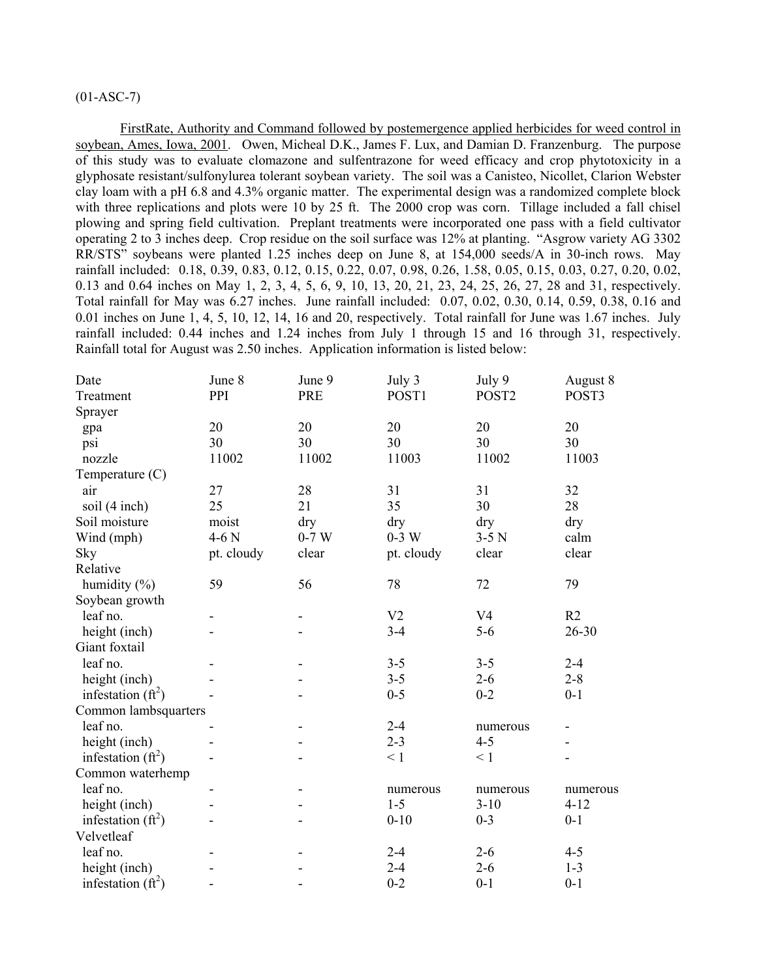# $(01-ASC-7)$

FirstRate, Authority and Command followed by postemergence applied herbicides for weed control in soybean, Ames, Iowa, 2001. Owen, Micheal D.K., James F. Lux, and Damian D. Franzenburg. The purpose of this study was to evaluate clomazone and sulfentrazone for weed efficacy and crop phytotoxicity in a glyphosate resistant/sulfonylurea tolerant soybean variety. The soil was a Canisteo, Nicollet, Clarion Webster clay loam with a pH 6.8 and 4.3% organic matter. The experimental design was a randomized complete block with three replications and plots were 10 by 25 ft. The 2000 crop was corn. Tillage included a fall chisel plowing and spring field cultivation. Preplant treatments were incorporated one pass with a field cultivator operating 2 to 3 inches deep. Crop residue on the soil surface was 12% at planting. "Asgrow variety AG 3302 RR/STS" soybeans were planted 1.25 inches deep on June 8, at 154,000 seeds/A in 30-inch rows. May rainfall included: 0.18, 0.39, 0.83, 0.12, 0.15, 0.22, 0.07, 0.98, 0.26, 1.58, 0.05, 0.15, 0.03, 0.27, 0.20, 0.02, 0.13 and 0.64 inches on May 1, 2, 3, 4, 5, 6, 9, 10, 13, 20, 21, 23, 24, 25, 26, 27, 28 and 31, respectively. Total rainfall for May was 6.27 inches. June rainfall included: 0.07, 0.02, 0.30, 0.14, 0.59, 0.38, 0.16 and 0.01 inches on June 1, 4, 5, 10, 12, 14, 16 and 20, respectively. Total rainfall for June was 1.67 inches. July rainfall included: 0.44 inches and 1.24 inches from July 1 through 15 and 16 through 31, respectively. Rainfall total for August was 2.50 inches. Application information is listed below:

| Date                 | June 8     | June 9     | July 3         | July 9            | August 8 |
|----------------------|------------|------------|----------------|-------------------|----------|
| Treatment            | PPI        | <b>PRE</b> | POST1          | POST <sub>2</sub> | POST3    |
| Sprayer              |            |            |                |                   |          |
| gpa                  | 20         | 20         | 20             | 20                | 20       |
| psi                  | 30         | 30         | 30             | 30                | 30       |
| nozzle               | 11002      | 11002      | 11003          | 11002             | 11003    |
| Temperature (C)      |            |            |                |                   |          |
| air                  | 27         | 28         | 31             | 31                | 32       |
| soil (4 inch)        | 25         | 21         | 35             | 30                | 28       |
| Soil moisture        | moist      | dry        | dry            | dry               | dry      |
| Wind (mph)           | $4-6N$     | $0-7$ W    | $0-3$ W        | $3-5$ N           | calm     |
| Sky                  | pt. cloudy | clear      | pt. cloudy     | clear             | clear    |
| Relative             |            |            |                |                   |          |
| humidity $(\% )$     | 59         | 56         | 78             | 72                | 79       |
| Soybean growth       |            |            |                |                   |          |
| leaf no.             |            |            | V <sub>2</sub> | V <sub>4</sub>    | R2       |
| height (inch)        |            |            | $3 - 4$        | $5-6$             | 26-30    |
| Giant foxtail        |            |            |                |                   |          |
| leaf no.             |            |            | $3 - 5$        | $3 - 5$           | $2 - 4$  |
| height (inch)        |            |            | $3 - 5$        | $2 - 6$           | $2 - 8$  |
| infestation $(ft^2)$ |            |            | $0 - 5$        | $0 - 2$           | $0 - 1$  |
| Common lambsquarters |            |            |                |                   |          |
| leaf no.             |            |            | $2 - 4$        | numerous          |          |
| height (inch)        |            |            | $2 - 3$        | $4 - 5$           |          |
| infestation $(ft^2)$ |            |            | $\leq 1$       | $\leq 1$          |          |
| Common waterhemp     |            |            |                |                   |          |
| leaf no.             |            |            | numerous       | numerous          | numerous |
| height (inch)        |            |            | $1 - 5$        | $3-10$            | $4 - 12$ |
| infestation $(ft^2)$ |            |            | $0 - 10$       | $0 - 3$           | $0 - 1$  |
| Velvetleaf           |            |            |                |                   |          |
| leaf no.             |            |            | $2 - 4$        | $2 - 6$           | $4 - 5$  |
| height (inch)        |            |            | $2 - 4$        | $2 - 6$           | $1 - 3$  |
| infestation $(ft^2)$ |            |            | $0 - 2$        | $0 - 1$           | $0 - 1$  |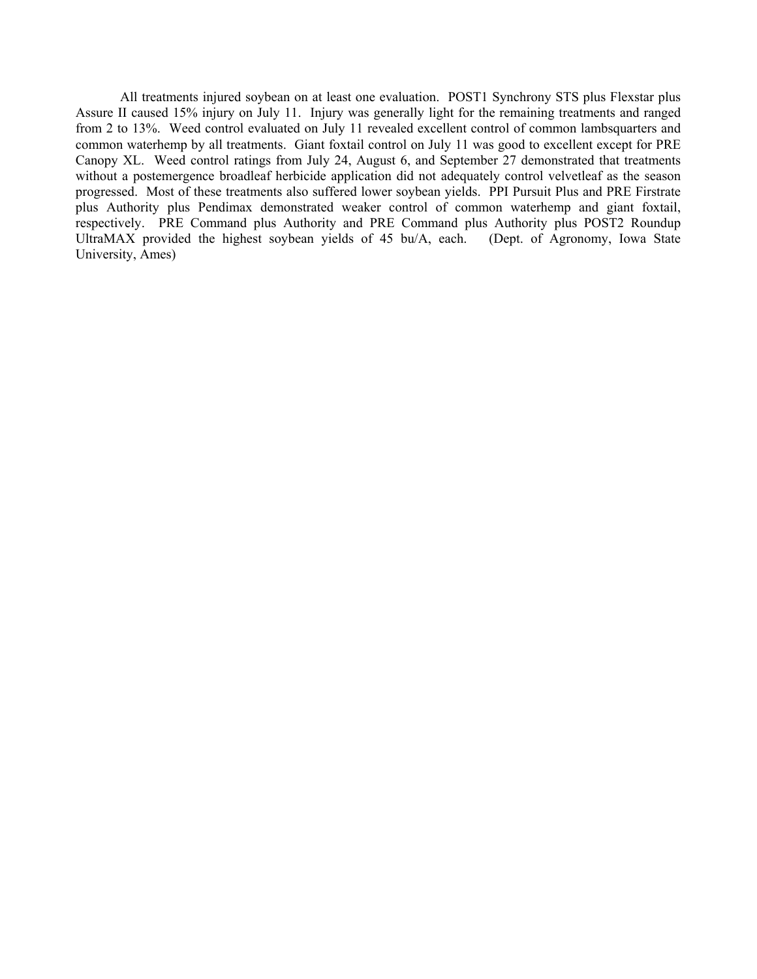All treatments injured soybean on at least one evaluation. POST1 Synchrony STS plus Flexstar plus Assure II caused 15% injury on July 11. Injury was generally light for the remaining treatments and ranged from 2 to 13%. Weed control evaluated on July 11 revealed excellent control of common lambsquarters and common waterhemp by all treatments. Giant foxtail control on July 11 was good to excellent except for PRE Canopy XL. Weed control ratings from July 24, August 6, and September 27 demonstrated that treatments without a postemergence broadleaf herbicide application did not adequately control velvetleaf as the season progressed. Most of these treatments also suffered lower soybean yields. PPI Pursuit Plus and PRE Firstrate plus Authority plus Pendimax demonstrated weaker control of common waterhemp and giant foxtail, respectively. PRE Command plus Authority and PRE Command plus Authority plus POST2 Roundup<br>UltraMAX provided the highest soybean yields of 45 bu/A, each. (Dept. of Agronomy, Iowa State UltraMAX provided the highest soybean yields of  $45$  bu/A, each. University, Ames)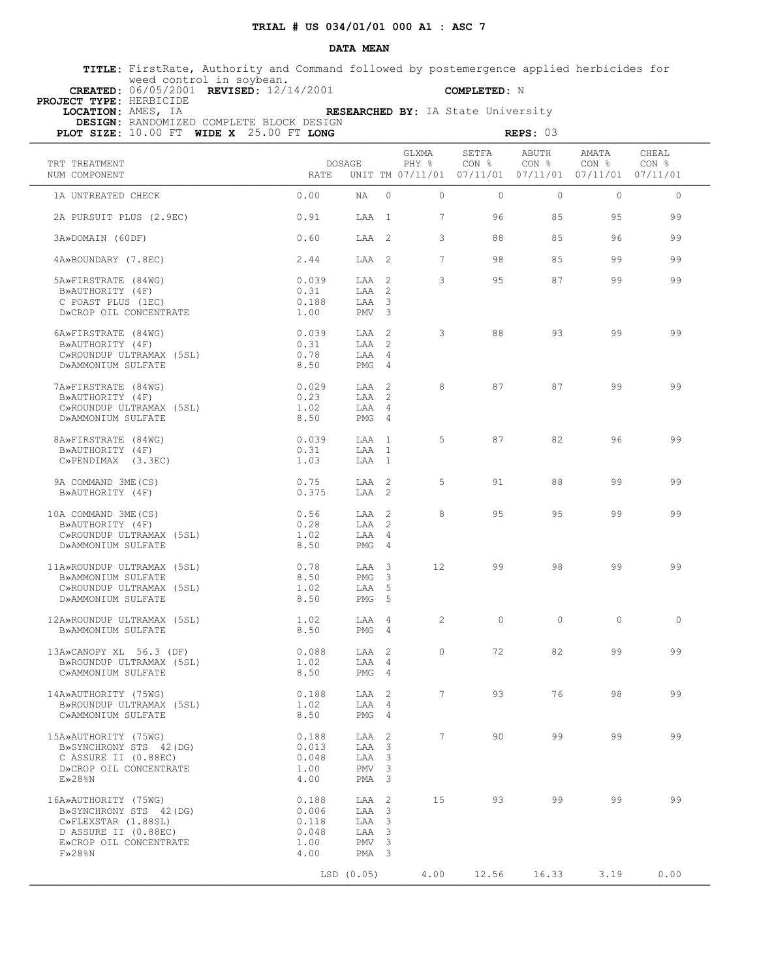### **DATA MEAN**

 **TITLE:** FirstRate, Authority and Command followed by postemergence applied herbicides for weed control in soybean.  **CREATED:** 06/05/2001 **REVISED:** 12/14/2001 **COMPLETED:** N

 **PROJECT TYPE:** HERBICIDE

 **LOCATION:** AMES, IA **RESEARCHED BY:** IA State University

 **DESIGN:** RANDOMIZED COMPLETE BLOCK DESIGN

| PLOT SIZE: 10.00 FT WIDE X 25.00 FT LONG       |               |                  |                         |                 |                | REPS: 03                                                                   |                |                |
|------------------------------------------------|---------------|------------------|-------------------------|-----------------|----------------|----------------------------------------------------------------------------|----------------|----------------|
| TRT TREATMENT<br>NUM COMPONENT                 | <b>RATE</b>   | DOSAGE           |                         | GLXMA<br>PHY %  | SETFA<br>CON % | ABUTH<br>CON %<br>UNIT TM 07/11/01  07/11/01  07/11/01  07/11/01  07/11/01 | AMATA<br>CON % | CHEAL<br>CON % |
| 1A UNTREATED CHECK                             | 0.00          | NA               | $\Omega$                | $\Omega$        | $\Omega$       | $\Omega$                                                                   | $\Omega$       | $\circ$        |
| 2A PURSUIT PLUS (2.9EC)                        | 0.91          | LAA 1            |                         | $7\phantom{.0}$ | 96             | 85                                                                         | 95             | 99             |
| 3A»DOMAIN (60DF)                               | 0.60          | LAA 2            |                         | 3               | 88             | 85                                                                         | 96             | 99             |
| 4A»BOUNDARY (7.8EC)                            | 2.44          | LAA 2            |                         | $7\overline{ }$ | 98             | 85                                                                         | 99             | 99             |
| 5A»FIRSTRATE (84WG)                            | 0.039         | LAA <sub>2</sub> |                         | 3               | 95             | 87                                                                         | 99             | 99             |
| B»AUTHORITY (4F)<br>C POAST PLUS (1EC)         | 0.31<br>0.188 | LAA 2<br>LAA     | $\overline{\mathbf{3}}$ |                 |                |                                                                            |                |                |
| D»CROP OIL CONCENTRATE                         | 1.00          | PMV <sub>3</sub> |                         |                 |                |                                                                            |                |                |
|                                                |               |                  |                         |                 |                |                                                                            |                |                |
| 6A»FIRSTRATE (84WG)                            | 0.039         | LAA 2            |                         | 3               | 88             | 93                                                                         | 99             | 99             |
| B»AUTHORITY (4F)                               | 0.31          | LAA 2            |                         |                 |                |                                                                            |                |                |
| C»ROUNDUP ULTRAMAX (5SL)                       | 0.78          | LAA 4            |                         |                 |                |                                                                            |                |                |
| D»AMMONIUM SULFATE                             | 8.50          | PMG 4            |                         |                 |                |                                                                            |                |                |
|                                                |               |                  |                         |                 |                |                                                                            |                |                |
| 7A»FIRSTRATE (84WG)                            | 0.029         | LAA 2            |                         | 8               | 87             | 87                                                                         | 99             | 99             |
| B»AUTHORITY (4F)                               | 0.23          | LAA 2<br>LAA 4   |                         |                 |                |                                                                            |                |                |
| C»ROUNDUP ULTRAMAX (5SL)<br>D»AMMONIUM SULFATE | 1.02<br>8.50  | $PMG = 4$        |                         |                 |                |                                                                            |                |                |
|                                                |               |                  |                         |                 |                |                                                                            |                |                |
| 8A»FIRSTRATE (84WG)                            | 0.039         | LAA 1            |                         | 5               | 87             | 82                                                                         | 96             | 99             |
| B»AUTHORITY (4F)                               | 0.31          | LAA              | $\overline{1}$          |                 |                |                                                                            |                |                |
| $C\gg PENDIMAX$ (3.3EC)                        | 1.03          | LAA 1            |                         |                 |                |                                                                            |                |                |
|                                                |               |                  |                         |                 |                |                                                                            |                |                |
| 9A COMMAND 3ME (CS)<br>B»AUTHORITY (4F)        | 0.75<br>0.375 | LAA 2<br>LAA 2   |                         | 5               | 91             | 88                                                                         | 99             | 99             |
|                                                |               |                  |                         |                 |                |                                                                            |                |                |
| 10A COMMAND 3ME (CS)                           | 0.56          | LAA 2            |                         | 8               | 95             | 95                                                                         | 99             | 99             |
| B»AUTHORITY (4F)                               | 0.28          | LAA 2            |                         |                 |                |                                                                            |                |                |
| C»ROUNDUP ULTRAMAX (5SL)                       | 1.02          | LAA 4            |                         |                 |                |                                                                            |                |                |
| D»AMMONIUM SULFATE                             | 8.50          | PMG 4            |                         |                 |                |                                                                            |                |                |
| 11A»ROUNDUP ULTRAMAX (5SL)                     | 0.78          | LAA 3            |                         | 12 <sup>°</sup> | 99             | 98                                                                         | 99             | 99             |
| B»AMMONIUM SULFATE                             | 8.50          | PMG              | $\overline{\mathbf{3}}$ |                 |                |                                                                            |                |                |
| C»ROUNDUP ULTRAMAX (5SL)                       | 1.02          | LAA 5            |                         |                 |                |                                                                            |                |                |
| D»AMMONIUM SULFATE                             | 8.50          | PMG <sub>5</sub> |                         |                 |                |                                                                            |                |                |
|                                                |               |                  |                         |                 |                |                                                                            |                |                |
| 12A»ROUNDUP ULTRAMAX (5SL)                     | 1.02          | LAA 4            |                         | 2               | $\Omega$       | $\Omega$                                                                   | $\Omega$       | $\bigcirc$     |
| B»AMMONIUM SULFATE                             | 8.50          | PMG 4            |                         |                 |                |                                                                            |                |                |
| 13A»CANOPY XL 56.3 (DF)                        | 0.088         | LAA 2            |                         | $\circ$         | 72             | 82                                                                         | 99             | 99             |
| B»ROUNDUP ULTRAMAX (5SL)                       | 1.02          | LAA 4            |                         |                 |                |                                                                            |                |                |
| C»AMMONIUM SULFATE                             | 8.50          | $PMG = 4$        |                         |                 |                |                                                                            |                |                |
|                                                |               |                  |                         |                 |                |                                                                            |                |                |
| 14A»AUTHORITY (75WG)                           | 0.188         | LAA 2            |                         | $7\overline{ }$ | 93             | 76                                                                         | 98             | 99             |
| B»ROUNDUP ULTRAMAX (5SL)<br>C»AMMONIUM SULFATE | 1.02<br>8.50  | LAA 4<br>PMG 4   |                         |                 |                |                                                                            |                |                |
|                                                |               |                  |                         |                 |                |                                                                            |                |                |
| 15A»AUTHORITY (75WG)                           | 0.188         | LAA 2            |                         | $7\overline{ }$ | 90             | 99                                                                         | 99             | 99             |
| B»SYNCHRONY STS 42 (DG)                        | 0.013         | LAA 3            |                         |                 |                |                                                                            |                |                |
| C ASSURE II (0.88EC)                           | 0.048         | LAA 3            |                         |                 |                |                                                                            |                |                |
| D»CROP OIL CONCENTRATE                         | 1.00          | PMV <sub>3</sub> |                         |                 |                |                                                                            |                |                |
| $E\gg 28$ %N                                   | 4.00          | PMA <sub>3</sub> |                         |                 |                |                                                                            |                |                |
| 16A»AUTHORITY (75WG)                           | 0.188         | LAA 2            |                         | 15              | 93             | 99                                                                         | 99             | 99             |
| B»SYNCHRONY STS 42 (DG)                        | 0.006         | LAA 3            |                         |                 |                |                                                                            |                |                |
| C»FLEXSTAR (1.88SL)                            | 0.118         | LAA 3            |                         |                 |                |                                                                            |                |                |
| D ASSURE II (0.88EC)                           | 0.048         | LAA 3            |                         |                 |                |                                                                            |                |                |
| E»CROP OIL CONCENTRATE                         | 1.00          | PMV <sub>3</sub> |                         |                 |                |                                                                            |                |                |
| $F\gg 28\$ N                                   | 4.00          | PMA <sub>3</sub> |                         |                 |                |                                                                            |                |                |
|                                                |               |                  |                         |                 |                |                                                                            |                |                |
|                                                |               | LSD (0.05)       |                         | 4.00            | 12.56          | 16.33                                                                      | 3.19           | 0.00           |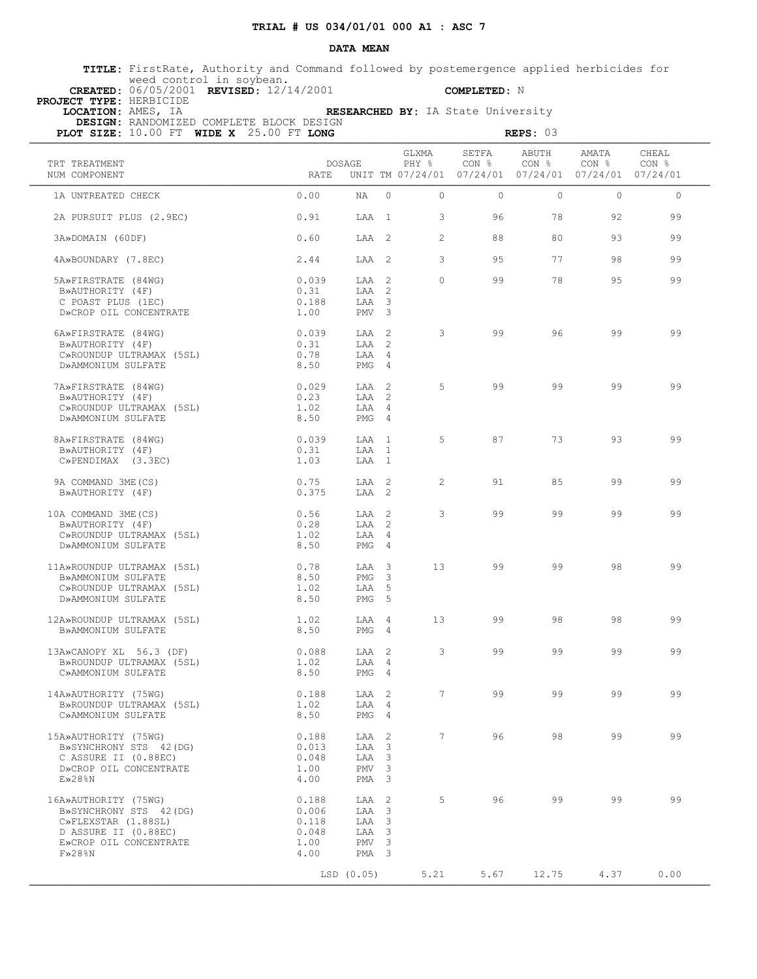### **DATA MEAN**

 **TITLE:** FirstRate, Authority and Command followed by postemergence applied herbicides for weed control in soybean.  **CREATED:** 06/05/2001 **REVISED:** 12/14/2001 **COMPLETED:** N

 **PROJECT TYPE:** HERBICIDE

 **LOCATION:** AMES, IA **RESEARCHED BY:** IA State University  **DESIGN:** RANDOMIZED COMPLETE BLOCK DESIGN

| PLOT SIZE: 10.00 FT WIDE X 25.00 FT LONG                                                                                                |                                                  |                                                                      |                                                                                                                                        |                         |                | REPS: 03                  |                                                                                   |                |
|-----------------------------------------------------------------------------------------------------------------------------------------|--------------------------------------------------|----------------------------------------------------------------------|----------------------------------------------------------------------------------------------------------------------------------------|-------------------------|----------------|---------------------------|-----------------------------------------------------------------------------------|----------------|
| TRT TREATMENT<br>NUM COMPONENT                                                                                                          | RATE                                             | DOSAGE                                                               |                                                                                                                                        | GLXMA<br>PHY %          | SETFA<br>CON % | ABUTH<br>CON <sub>8</sub> | AMATA<br>CON <sub>8</sub><br>UNIT TM 07/24/01 07/24/01 07/24/01 07/24/01 07/24/01 | CHEAL<br>CON % |
| 1A UNTREATED CHECK                                                                                                                      | 0.00                                             | $NA$ 0                                                               |                                                                                                                                        | $\Omega$                | $\bigcirc$     | $\bigcirc$                | $\bigcirc$                                                                        | $\Omega$       |
| 2A PURSUIT PLUS (2.9EC)                                                                                                                 | 0.91                                             | LAA 1                                                                |                                                                                                                                        | $\mathbf{3}$            | 96             | 78                        | 92                                                                                | 99             |
| 3A»DOMAIN (60DF)                                                                                                                        | 0.60                                             |                                                                      |                                                                                                                                        | $\overline{2}$<br>LAA 2 | 88             | 80                        | 93                                                                                | 99             |
| 4A»BOUNDARY (7.8EC)                                                                                                                     | 2.44                                             | LAA 2                                                                |                                                                                                                                        | $\mathbf{3}$            | 95             | 77                        | 98                                                                                | 99             |
| 5A»FIRSTRATE (84WG)<br>B»AUTHORITY (4F)<br>C POAST PLUS (1EC)<br>D»CROP OIL CONCENTRATE                                                 | 0.039<br>0.31<br>0.188<br>1.00                   | LAA 2<br>LAA 2<br>LAA 3<br>PMV <sub>3</sub>                          |                                                                                                                                        | $\Omega$                | 99             | 78                        | 95                                                                                | 99             |
| 6A»FIRSTRATE (84WG)<br>B»AUTHORITY (4F)<br>C»ROUNDUP ULTRAMAX (5SL)<br>D»AMMONIUM SULFATE                                               | 0.039<br>0.31<br>0.78<br>8.50                    | LAA 2<br>LAA 2<br>LAA 4<br>PMG 4                                     |                                                                                                                                        | 3                       | 99             | 96                        | 99                                                                                | 99             |
| 7A»FIRSTRATE (84WG)<br>B»AUTHORITY (4F)<br>C»ROUNDUP ULTRAMAX (5SL)<br>D»AMMONIUM SULFATE                                               | 0.029<br>0.23<br>1.02<br>8.50                    | LAA 2<br>LAA 2<br>LAA 4<br>PMG 4                                     |                                                                                                                                        | 5                       | 99             | 99                        | 99                                                                                | 99             |
| 8A»FIRSTRATE (84WG)<br>B»AUTHORITY (4F)<br>$C\gg$ PENDIMAX $(3.3EC)$                                                                    | 0.039<br>0.31<br>1.03                            | LAA 1<br>LAA 1<br>LAA 1                                              |                                                                                                                                        | 5                       | 87             | 73                        | 93                                                                                | 99             |
| 9A COMMAND 3ME (CS)<br>B»AUTHORITY (4F)                                                                                                 | 0.75<br>0.375                                    | LAA 2<br>LAA 2                                                       |                                                                                                                                        | $\overline{2}$          | 91             | 85                        | 99                                                                                | 99             |
| 10A COMMAND 3ME (CS)<br>B»AUTHORITY (4F)<br>C»ROUNDUP ULTRAMAX (5SL)<br>D»AMMONIUM SULFATE                                              | 0.56<br>0.28<br>1.02<br>8.50                     | LAA 2<br>LAA 2<br>LAA 4<br>PMG 4                                     |                                                                                                                                        | $\mathbf{3}$            | 99             | 99                        | 99                                                                                | 99             |
| 11A»ROUNDUP ULTRAMAX (5SL)<br>B»AMMONIUM SULFATE<br>C»ROUNDUP ULTRAMAX (5SL)<br>D»AMMONIUM SULFATE                                      | 0.78<br>8.50<br>1.02<br>8.50                     | LAA 3<br>PMG 3<br>LAA 5<br>PMG <sub>5</sub>                          |                                                                                                                                        | 13                      | 99             | 99                        | 98                                                                                | 99             |
| 12A»ROUNDUP ULTRAMAX (5SL)<br>B»AMMONIUM SULFATE                                                                                        | 1.02<br>8.50                                     | LAA 4<br>PMG 4                                                       |                                                                                                                                        | 13                      | 99             | 98                        | 98                                                                                | 99             |
| 13A»CANOPY XL 56.3 (DF)<br>B»ROUNDUP ULTRAMAX (5SL)<br>C»AMMONIUM SULFATE                                                               | 0.088<br>1.02<br>8.50                            | LAA 2<br>LAA 4<br>$PMG = 4$                                          |                                                                                                                                        | 3                       | 99             | 99                        | 99                                                                                | 99             |
| 14A»AUTHORITY (75WG)<br>B»ROUNDUP ULTRAMAX (5SL)<br>C»AMMONIUM SULFATE                                                                  | 0.188<br>1.02<br>8.50                            | LAA 2<br>LAA<br>PMG 4                                                | 4                                                                                                                                      | $7^{\circ}$             | 99             | 99                        | 99                                                                                | 99             |
| 15A»AUTHORITY (75WG)<br>B»SYNCHRONY STS 42 (DG)<br>C ASSURE II (0.88EC)<br>D»CROP OIL CONCENTRATE<br>$E\gg 28$ %N                       | 0.188<br>0.013<br>0.048<br>1.00<br>4.00          | LAA<br>LAA<br>LAA<br>PMV<br>PMA                                      | $\overline{\phantom{0}}^2$<br>$\overline{\mathbf{3}}$<br>$\overline{\mathbf{3}}$<br>$\overline{\mathbf{3}}$<br>$\overline{\mathbf{3}}$ | $7\overline{ }$         | 96             | 98                        | 99                                                                                | 99             |
| 16A»AUTHORITY (75WG)<br>B»SYNCHRONY STS 42(DG)<br>C»FLEXSTAR (1.88SL)<br>D ASSURE II (0.88EC)<br>E»CROP OIL CONCENTRATE<br>$F\gg 28$ %N | 0.188<br>0.006<br>0.118<br>0.048<br>1.00<br>4.00 | LAA<br>LAA<br>LAA 3<br>LAA 3<br>PMV <sub>3</sub><br>PMA <sub>3</sub> | $\overline{2}$<br>$\overline{\mathbf{3}}$                                                                                              | 5                       | 96             | 99                        | 99                                                                                | 99             |
|                                                                                                                                         |                                                  | LSD (0.05)                                                           |                                                                                                                                        | 5.21                    | 5.67           | 12.75                     | 4.37                                                                              | 0.00           |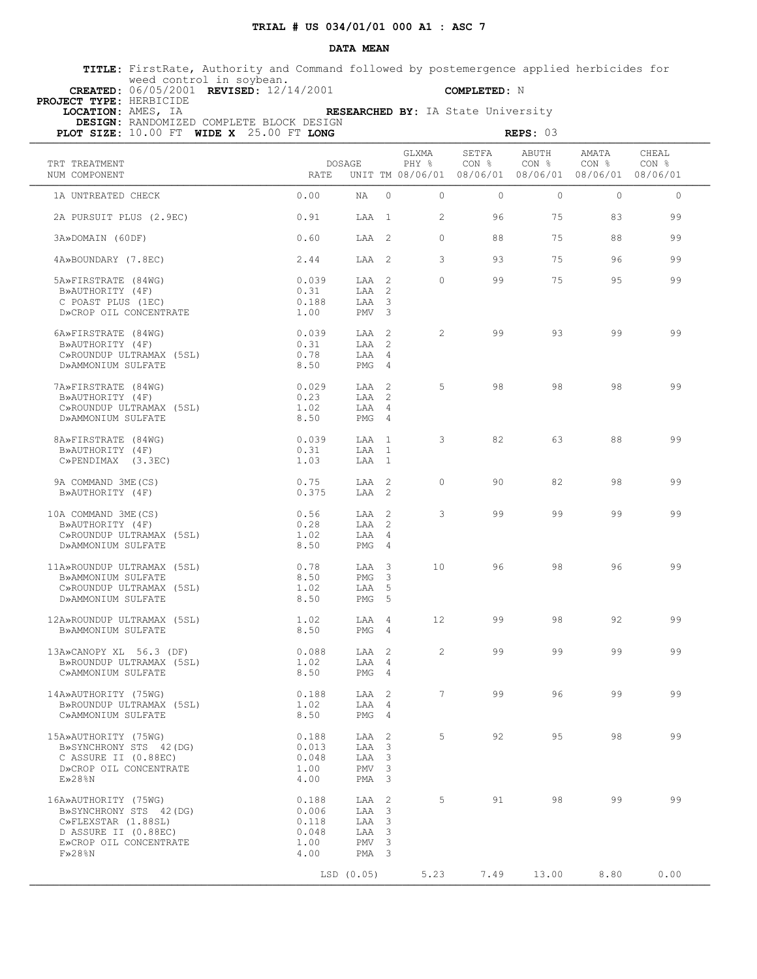### **DATA MEAN**

 **TITLE:** FirstRate, Authority and Command followed by postemergence applied herbicides for weed control in soybean.

 **PROJECT TYPE:** HERBICIDE

 **CREATED:** 06/05/2001 **REVISED:** 12/14/2001 **COMPLETED:** N

 **LOCATION:** AMES, IA **RESEARCHED BY:** IA State University  **DESIGN:** RANDOMIZED COMPLETE BLOCK DESIGN

| PLOT SIZE: 10.00 FT WIDE X 25.00 FT LONG       |               |                           |                         |                 |                | REPS: 03                                                                          |                |                |
|------------------------------------------------|---------------|---------------------------|-------------------------|-----------------|----------------|-----------------------------------------------------------------------------------|----------------|----------------|
| TRT TREATMENT<br>NUM COMPONENT                 | <b>RATE</b>   | DOSAGE                    |                         | GLXMA<br>PHY %  | SETFA<br>CON % | ABUTH<br>CON <sub>8</sub><br>UNIT TM 08/06/01 08/06/01 08/06/01 08/06/01 08/06/01 | AMATA<br>CON % | CHEAL<br>CON % |
| 1A UNTREATED CHECK                             | 0.00          | NA                        | $\Omega$                | $\Omega$        | $\Omega$       | $\Omega$                                                                          | $\Omega$       | $\Omega$       |
| 2A PURSUIT PLUS (2.9EC)                        | 0.91          | LAA 1                     |                         | 2               | 96             | 75                                                                                | 83             | 99             |
| 3A»DOMAIN (60DF)                               | 0.60          | LAA 2                     |                         | $\Omega$        | 88             | 75                                                                                | 88             | 99             |
| 4A»BOUNDARY (7.8EC)                            | 2.44          | LAA 2                     |                         | 3               | 93             | 75                                                                                | 96             | 99             |
| 5A»FIRSTRATE (84WG)                            | 0.039         | LAA 2                     |                         | $\Omega$        | 99             | 75                                                                                | 95             | 99             |
| B»AUTHORITY (4F)<br>C POAST PLUS (1EC)         | 0.31<br>0.188 | LAA 2<br>LAA              | $\overline{\mathbf{3}}$ |                 |                |                                                                                   |                |                |
| D»CROP OIL CONCENTRATE                         | 1.00          | PMV <sub>3</sub>          |                         |                 |                |                                                                                   |                |                |
|                                                |               |                           |                         |                 |                |                                                                                   |                |                |
| 6A»FIRSTRATE (84WG)                            | 0.039         | LAA 2                     |                         | 2               | 99             | 93                                                                                | 99             | 99             |
| B»AUTHORITY (4F)                               | 0.31          | LAA 2                     |                         |                 |                |                                                                                   |                |                |
| C»ROUNDUP ULTRAMAX (5SL)                       | 0.78          | LAA 4                     |                         |                 |                |                                                                                   |                |                |
| D»AMMONIUM SULFATE                             | 8.50          | PMG 4                     |                         |                 |                |                                                                                   |                |                |
|                                                |               | LAA 2                     |                         | 5               | 98             | 98                                                                                | 98             | 99             |
| 7A»FIRSTRATE (84WG)<br>B»AUTHORITY (4F)        | 0.029<br>0.23 | LAA 2                     |                         |                 |                |                                                                                   |                |                |
| C»ROUNDUP ULTRAMAX (5SL)                       | 1.02          | LAA 4                     |                         |                 |                |                                                                                   |                |                |
| D»AMMONIUM SULFATE                             | 8.50          | $PMG = 4$                 |                         |                 |                |                                                                                   |                |                |
|                                                |               |                           |                         |                 |                |                                                                                   |                |                |
| 8A»FIRSTRATE (84WG)                            | 0.039         | LAA 1                     |                         | 3               | 82             | 63                                                                                | 88             | 99             |
| B»AUTHORITY (4F)                               | 0.31          | LAA                       | $\overline{1}$          |                 |                |                                                                                   |                |                |
| $C\gg PENDIMAX$ (3.3EC)                        | 1.03          | LAA 1                     |                         |                 |                |                                                                                   |                |                |
| 9A COMMAND 3ME (CS)                            | 0.75          | LAA 2                     |                         | $\circ$         | 90             | 82                                                                                | 98             | 99             |
| B»AUTHORITY (4F)                               | 0.375         | LAA 2                     |                         |                 |                |                                                                                   |                |                |
|                                                |               |                           |                         |                 |                |                                                                                   |                |                |
| 10A COMMAND 3ME (CS)                           | 0.56          | LAA 2                     |                         | 3               | 99             | 99                                                                                | 99             | 99             |
| B»AUTHORITY (4F)                               | 0.28          | LAA 2                     |                         |                 |                |                                                                                   |                |                |
| C»ROUNDUP ULTRAMAX (5SL)                       | 1.02          | LAA 4                     |                         |                 |                |                                                                                   |                |                |
| D»AMMONIUM SULFATE                             | 8.50          | PMG 4                     |                         |                 |                |                                                                                   |                |                |
| 11A»ROUNDUP ULTRAMAX (5SL)                     | 0.78          | LAA 3                     |                         | 10              | 96             | 98                                                                                | 96             | 99             |
| B»AMMONIUM SULFATE                             | 8.50          | PMG                       | $\overline{\mathbf{3}}$ |                 |                |                                                                                   |                |                |
| C»ROUNDUP ULTRAMAX (5SL)                       | 1.02          | LAA 5                     |                         |                 |                |                                                                                   |                |                |
| D»AMMONIUM SULFATE                             | 8.50          | PMG <sub>5</sub>          |                         |                 |                |                                                                                   |                |                |
| 12A»ROUNDUP ULTRAMAX (5SL)                     | 1.02          | LAA 4                     |                         | 12 <sup>°</sup> | 99             | 98                                                                                | 92             | 99             |
| B»AMMONIUM SULFATE                             | 8.50          | PMG 4                     |                         |                 |                |                                                                                   |                |                |
|                                                |               |                           |                         |                 |                |                                                                                   |                |                |
| 13A»CANOPY XL 56.3 (DF)                        | 0.088         | LAA 2                     |                         | 2               | 99             | 99                                                                                | 99             | 99             |
| B»ROUNDUP ULTRAMAX (5SL)                       | 1.02          | LAA 4                     |                         |                 |                |                                                                                   |                |                |
| C»AMMONIUM SULFATE                             | 8.50          | $PMG = 4$                 |                         |                 |                |                                                                                   |                |                |
| 14A»AUTHORITY (75WG)                           | 0.188         | LAA 2                     |                         | $7\overline{ }$ | 99             | 96                                                                                | 99             | 99             |
| B»ROUNDUP ULTRAMAX (5SL)                       | 1.02          | LAA 4                     |                         |                 |                |                                                                                   |                |                |
| C»AMMONIUM SULFATE                             | 8.50          | PMG 4                     |                         |                 |                |                                                                                   |                |                |
|                                                |               |                           |                         |                 |                |                                                                                   |                |                |
| 15A»AUTHORITY (75WG)                           | 0.188         | LAA 2                     |                         | 5               | 92             | 95                                                                                | 98             | 99             |
| B»SYNCHRONY STS 42 (DG)                        | 0.013         | LAA 3                     |                         |                 |                |                                                                                   |                |                |
| C ASSURE II (0.88EC)<br>D»CROP OIL CONCENTRATE | 0.048<br>1.00 | LAA 3<br>PMV <sub>3</sub> |                         |                 |                |                                                                                   |                |                |
| $E\gg 28$ %N                                   | 4.00          | PMA 3                     |                         |                 |                |                                                                                   |                |                |
|                                                |               |                           |                         |                 |                |                                                                                   |                |                |
| 16A»AUTHORITY (75WG)                           | 0.188         | LAA 2                     |                         | 5               | 91             | 98                                                                                | 99             | 99             |
| B»SYNCHRONY STS 42 (DG)                        | 0.006         | LAA 3                     |                         |                 |                |                                                                                   |                |                |
| C»FLEXSTAR (1.88SL)                            | 0.118         | LAA 3                     |                         |                 |                |                                                                                   |                |                |
| D ASSURE II (0.88EC)                           | 0.048         | LAA 3<br>PMV <sub>3</sub> |                         |                 |                |                                                                                   |                |                |
| E»CROP OIL CONCENTRATE<br>$F\gg 28\$ N         | 1.00<br>4.00  | PMA <sub>3</sub>          |                         |                 |                |                                                                                   |                |                |
|                                                |               |                           |                         |                 |                |                                                                                   |                |                |
|                                                |               | LSD (0.05)                |                         | 5.23            | 7.49           | 13.00                                                                             | 8.80           | 0.00           |
|                                                |               |                           |                         |                 |                |                                                                                   |                |                |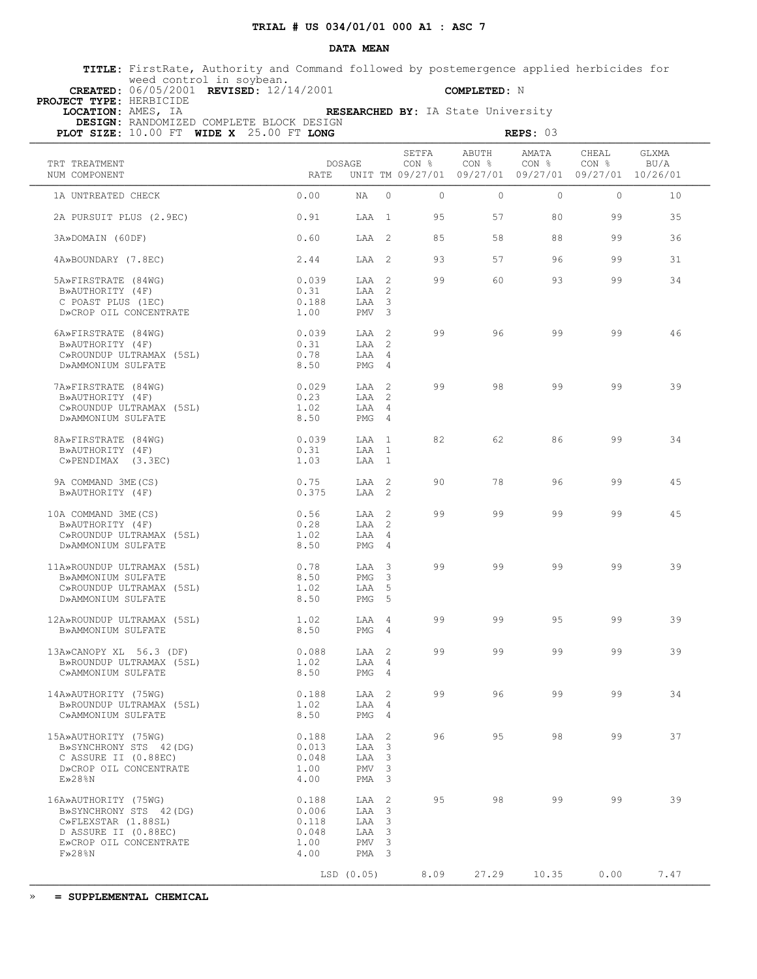#### **DATA MEAN**

 **TITLE:** FirstRate, Authority and Command followed by postemergence applied herbicides for weed control in soybean.

**PROJECT TYPE:** HERBICIDE<br>**LOCATION:** AMES, IA

 **CREATED:** 06/05/2001 **REVISED:** 12/14/2001 **COMPLETED:** N

| LOCATION: AMES, IA                           | DESIGN: RANDOMIZED COMPLETE BLOCK DESIGN |  |                          |        |                |                                    | RESEARCHED BY: IA State University  |                |                            |                           |  |
|----------------------------------------------|------------------------------------------|--|--------------------------|--------|----------------|------------------------------------|-------------------------------------|----------------|----------------------------|---------------------------|--|
| PLOT SIZE: $10.00$ FT WIDE X $25.00$ FT LONG |                                          |  |                          |        |                |                                    |                                     | REPS: 03       |                            |                           |  |
| TRT TREATMENT<br>NUM COMPONENT               |                                          |  | RATE                     | DOSAGE |                | SETFA<br>CON %<br>UNIT TM 09/27/01 | ABUTH<br>CON %<br>09/27/01 09/27/01 | AMATA<br>CON % | CHEAL<br>CON %<br>09/27/01 | GLXMA<br>BU/A<br>10/26/01 |  |
| 1A UNTREATED CHECK                           |                                          |  | 0.00                     | ΝA     | $\overline{0}$ | $\Omega$                           | $\Omega$                            | $\Omega$       | $\Omega$                   | 10                        |  |
| 2A PURSUIT PLUS (2.9EC)                      |                                          |  | 0.91                     | T.AA   | $\overline{1}$ | 95                                 | 57                                  | 80             | 99                         | 35                        |  |
| 3A»DOMAIN (60DF)                             |                                          |  | 0.60                     | LAA 2  |                | 85                                 | 58                                  | 88             | 99                         | 36                        |  |
|                                              |                                          |  | $\cap$ $\wedge$ $\wedge$ | ר ההד  |                | $\cap$                             | E 7                                 | $\cap$         | $\cap$                     |                           |  |

| 2.44  |     | 93                                                            | 57 | 96 | 99 | 31 |
|-------|-----|---------------------------------------------------------------|----|----|----|----|
| 0.039 |     | 99                                                            | 60 | 93 | 99 | 34 |
| 0.31  |     |                                                               |    |    |    |    |
| 0.188 |     |                                                               |    |    |    |    |
| 1.00  |     |                                                               |    |    |    |    |
| 0.039 |     | 99                                                            | 96 | 99 | 99 | 46 |
| 0.31  | LAA |                                                               |    |    |    |    |
|       |     | LAA 2<br>LAA 2<br>LAA 2<br>LAA 3<br>PMV <sub>3</sub><br>LAA 2 |    |    |    |    |

| D <i>N</i> AUIRUNIII (HE <i>I</i> | 1.1.1 | $I \cup M$ $\cup$ |  |
|-----------------------------------|-------|-------------------|--|
| C»ROUNDUP ULTRAMAX (5SL)          | 0.78  | T.AA 4            |  |
| D»AMMONIUM SULFATE                | 8.50  | PMG 4             |  |
| 7A»FIRSTRATE (84WG)               | 0.029 | $TAA$ 2           |  |

| B»AUTHORITY (4F)              |  |
|-------------------------------|--|
| C»ROUNDUP ULTRAMAX (5SL)      |  |
| D»AMMONIUM SULFATE            |  |
|                               |  |
| $97 \times F$ TDCTDATE (9/MC) |  |

| 7A»FIRSTRATE (84WG)         | 0.029 | LAA      | 99 | 98 | 9 Q | QQ | 30 |
|-----------------------------|-------|----------|----|----|-----|----|----|
| B»AUTHORITY (4F)            | 0.23  | LAA      |    |    |     |    |    |
| C»ROUNDUP ULTRAMAX<br>(5SL) | 1.02  | LAA      |    |    |     |    |    |
| D»AMMONIUM SULFATE          | 8.50  | PMG      |    |    |     |    |    |
| 8A SEIRSTRATE (84MG)        | USO   | Т. Д. Д. |    |    |     | 99 |    |

 8A»FIRSTRATE (84WG) 0.039 LAA 1 82 62 86 99 34 B»AUTHORITY (4F) 0.31 LAA 1 C»PENDIMAX (3.3EC) 1.03 LAA 1 9A COMMAND 3ME(CS) 0.75 LAA 2 90 78 96 99 45

B»AUTHORITY (4F) 0.375 LAA 2

| 10A COMMAND 3ME (CS)       | 0.56 | LAA   | - 2. | 99 | 99 | 99 | 99 | 45 |
|----------------------------|------|-------|------|----|----|----|----|----|
| B»AUTHORITY (4F)           | 0.28 | LAA   | -2   |    |    |    |    |    |
| C»ROUNDUP ULTRAMAX (5SL)   | 1.02 | LAA   | 4    |    |    |    |    |    |
| D»AMMONIUM SULFATE         | 8.50 | PMG   | -4   |    |    |    |    |    |
| 11A»ROUNDUP ULTRAMAX (5SL) | 0.78 | LAA 3 |      | 99 | 99 | 99 | 99 | 39 |
| B»AMMONIUM SULFATE         | 8.50 | PMG   | -3   |    |    |    |    |    |
| C»ROUNDUP ULTRAMAX (5SL)   | 1.02 | LAA   | -5   |    |    |    |    |    |
| D»AMMONIUM SULFATE         | 8.50 | PMG   | -5   |    |    |    |    |    |
| 12A»ROUNDUP ULTRAMAX (5SL) | 1.02 | LAA   | - 4  | 99 | 99 | 95 | 99 | 39 |
| B»AMMONIUM SULFATE         | 8.50 | PMG   | 4    |    |    |    |    |    |
|                            |      |       |      |    |    |    |    |    |

 13A»CANOPY XL 56.3 (DF) 0.088 LAA 2 99 99 99 99 39 B»ROUNDUP ULTRAMAX (5SL) 1.02 LAA 4 C»AMMONIUM SULFATE 8.50 PMG 4 14A»AUTHORITY (75WG) 0.188 LAA 2 99 96 99 99 34 B»ROUNDUP ULTRAMAX (5SL) 1.02 LAA 4 C»AMMONIUM SULFATE 8.50 PMG 4 15A»AUTHORITY (75WG) 0.188 LAA 2 96 95 98 99 37

| B»SYNCHRONY STS 42(DG) | 0.013 | LAA              | -3  |      |       |       |      |      |
|------------------------|-------|------------------|-----|------|-------|-------|------|------|
| C ASSURE II (0.88EC)   | 0.048 | LAA              | - 3 |      |       |       |      |      |
| D»CROP OIL CONCENTRATE | 1.00  | PMV              | - 3 |      |       |       |      |      |
| $E\gg 28$ %N           | 4.00  | PMA <sub>3</sub> |     |      |       |       |      |      |
| 16A»AUTHORITY (75WG)   | 0.188 | LAA 2            |     | 95   | 98    | 99    | 99   | 39   |
| B»SYNCHRONY STS 42(DG) | 0.006 | LAA 3            |     |      |       |       |      |      |
| C»FLEXSTAR (1.88SL)    | 0.118 | LAA 3            |     |      |       |       |      |      |
| D ASSURE II (0.88EC)   | 0.048 | LAA 3            |     |      |       |       |      |      |
| E»CROP OIL CONCENTRATE | 1.00  | PMV              | - 3 |      |       |       |      |      |
| $F\gg 28\%N$           | 4.00  | PMA              | - 3 |      |       |       |      |      |
|                        |       | LSD (0.05)       |     | 8.09 | 27.29 | 10.35 | 0.00 | 7.47 |